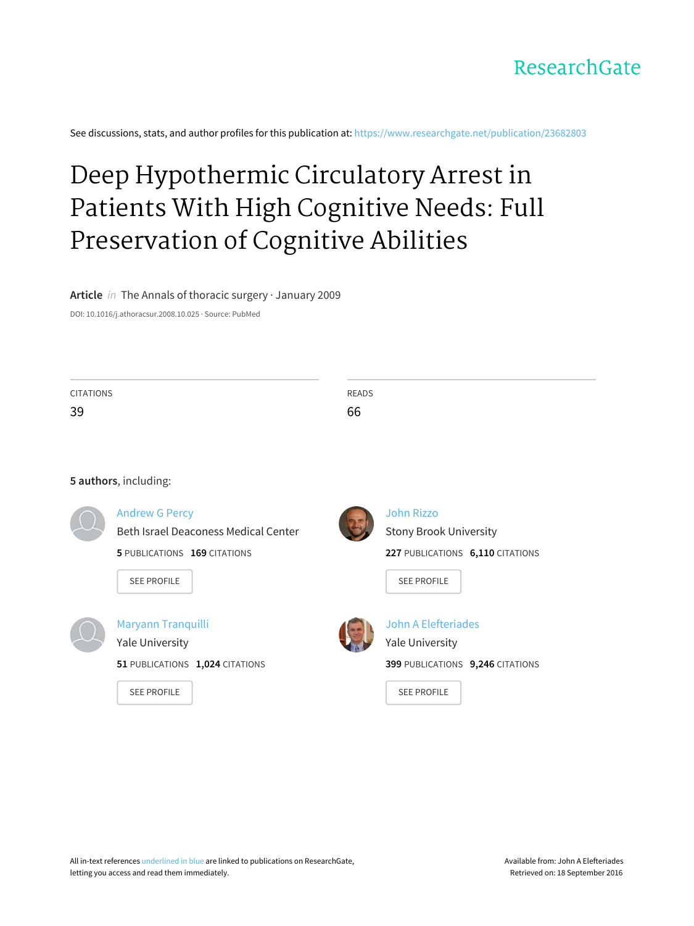

See discussions, stats, and author profiles for this publication at: [https://www.researchgate.net/publication/23682803](https://www.researchgate.net/publication/23682803_Deep_Hypothermic_Circulatory_Arrest_in_Patients_With_High_Cognitive_Needs_Full_Preservation_of_Cognitive_Abilities?enrichId=rgreq-1f0e61aaf838a2e202d990b37628ee5a-XXX&enrichSource=Y292ZXJQYWdlOzIzNjgyODAzO0FTOjEwMTU5NDY3MDU2NzQyNkAxNDAxMjMzNDY1Mzc3&el=1_x_2)

# Deep [Hypothermic](https://www.researchgate.net/publication/23682803_Deep_Hypothermic_Circulatory_Arrest_in_Patients_With_High_Cognitive_Needs_Full_Preservation_of_Cognitive_Abilities?enrichId=rgreq-1f0e61aaf838a2e202d990b37628ee5a-XXX&enrichSource=Y292ZXJQYWdlOzIzNjgyODAzO0FTOjEwMTU5NDY3MDU2NzQyNkAxNDAxMjMzNDY1Mzc3&el=1_x_3) Circulatory Arrest in Patients With High Cognitive Needs: Full Preservation of Cognitive Abilities

#### **Article** in The Annals of thoracic surgery · January 2009

DOI: 10.1016/j.athoracsur.2008.10.025 · Source: PubMed

| <b>CITATIONS</b><br>39 |                                                               | <b>READS</b><br>66 |                                             |
|------------------------|---------------------------------------------------------------|--------------------|---------------------------------------------|
|                        | 5 authors, including:                                         |                    |                                             |
|                        | <b>Andrew G Percy</b><br>Beth Israel Deaconess Medical Center |                    | John Rizzo<br><b>Stony Brook University</b> |
|                        | 5 PUBLICATIONS 169 CITATIONS                                  |                    | 227 PUBLICATIONS 6,110 CITATIONS            |
|                        | <b>SEE PROFILE</b>                                            |                    | <b>SEE PROFILE</b>                          |
|                        | Maryann Tranquilli                                            |                    | <b>John A Elefteriades</b>                  |
|                        | Yale University                                               |                    | Yale University                             |
|                        | 51 PUBLICATIONS 1,024 CITATIONS                               |                    | 399 PUBLICATIONS 9,246 CITATIONS            |
|                        | <b>SEE PROFILE</b>                                            |                    | <b>SEE PROFILE</b>                          |

All in-text references underlined in blue are linked to publications on ResearchGate, letting you access and read them immediately.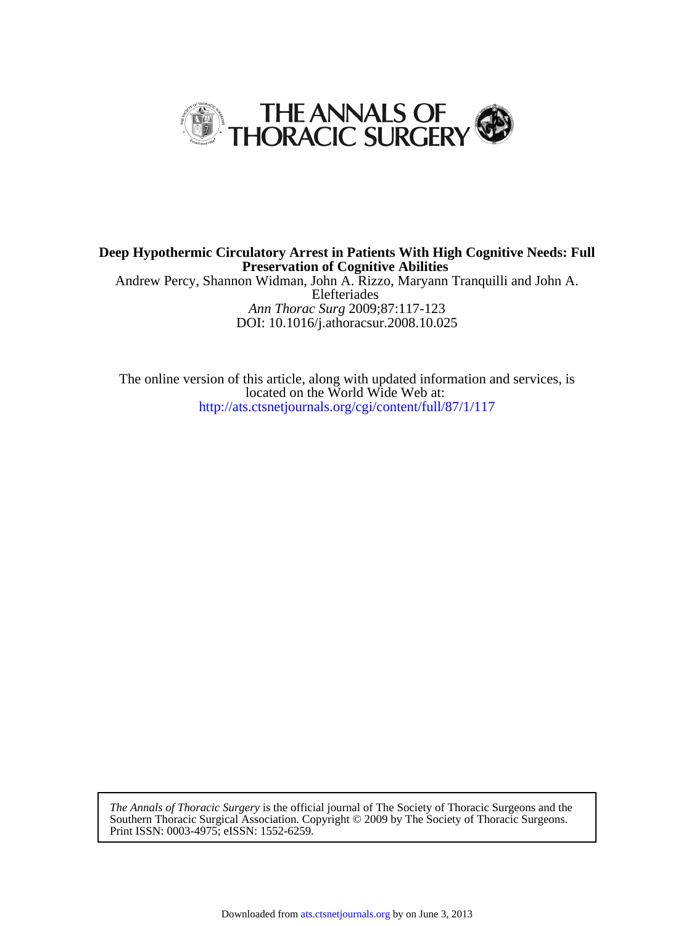

Elefteriades Andrew Percy, Shannon Widman, John A. Rizzo, Maryann Tranquilli and John A. **Preservation of Cognitive Abilities Deep Hypothermic Circulatory Arrest in Patients With High Cognitive Needs: Full**

DOI: 10.1016/j.athoracsur.2008.10.025 *Ann Thorac Surg* 2009;87:117-123

<http://ats.ctsnetjournals.org/cgi/content/full/87/1/117> located on the World Wide Web at: The online version of this article, along with updated information and services, is

Print ISSN: 0003-4975; eISSN: 1552-6259. Southern Thoracic Surgical Association. Copyright © 2009 by The Society of Thoracic Surgeons. *The Annals of Thoracic Surgery* is the official journal of The Society of Thoracic Surgeons and the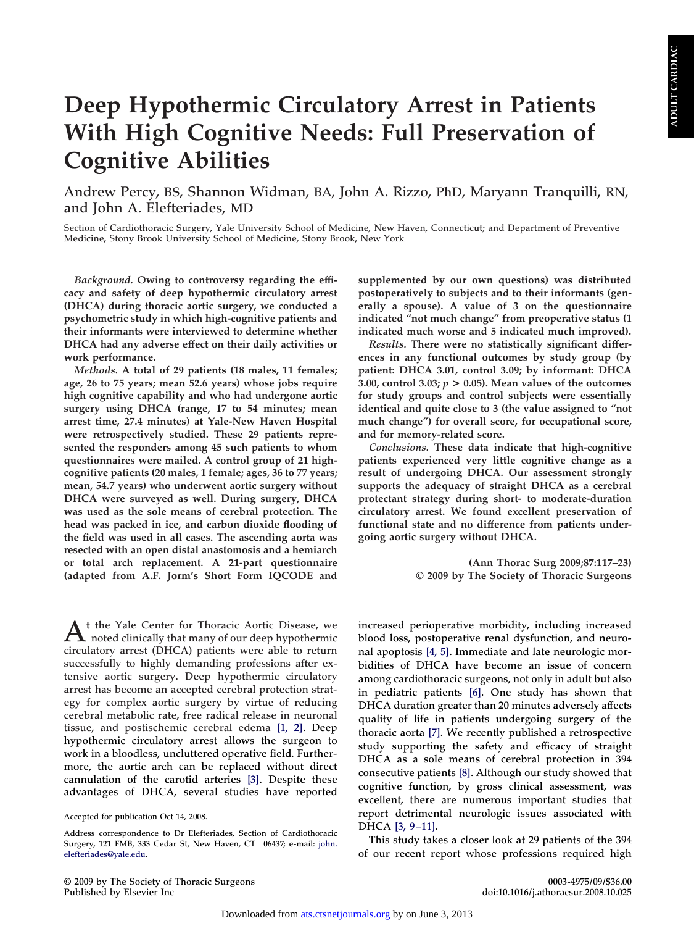# **Deep Hypothermic Circulatory Arrest in Patients With High Cognitive Needs: Full Preservation of Cognitive Abilities**

**Andrew Percy, BS, Shannon Widman, BA, John A. Rizzo, PhD, Maryann Tranquilli, RN, and John A. Elefteriades, MD**

**Section of Cardiothoracic Surgery, Yale University School of Medicine, New Haven, Connecticut; and Department of Preventive Medicine, Stony Brook University School of Medicine, Stony Brook, New York**

*Background.* **Owing to controversy regarding the efficacy and safety of deep hypothermic circulatory arrest (DHCA) during thoracic aortic surgery, we conducted a psychometric study in which high-cognitive patients and their informants were interviewed to determine whether DHCA had any adverse effect on their daily activities or work performance.**

*Methods.* **A total of 29 patients (18 males, 11 females; age, 26 to 75 years; mean 52.6 years) whose jobs require high cognitive capability and who had undergone aortic surgery using DHCA (range, 17 to 54 minutes; mean arrest time, 27.4 minutes) at Yale-New Haven Hospital were retrospectively studied. These 29 patients represented the responders among 45 such patients to whom questionnaires were mailed. A control group of 21 highcognitive patients (20 males, 1 female; ages, 36 to 77 years; mean, 54.7 years) who underwent aortic surgery without DHCA were surveyed as well. During surgery, DHCA was used as the sole means of cerebral protection. The head was packed in ice, and carbon dioxide flooding of the field was used in all cases. The ascending aorta was resected with an open distal anastomosis and a hemiarch or total arch replacement. A 21-part questionnaire (adapted from A.F. Jorm's Short Form IQCODE and**

A<sup>t the Yale Center for Thoracic Aortic Disease, we noted clinically that many of our deep hypothermic</sup> **circulatory arrest (DHCA) patients were able to return successfully to highly demanding professions after extensive aortic surgery. Deep hypothermic circulatory arrest has become an accepted cerebral protection strategy for complex aortic surgery by virtue of reducing cerebral metabolic rate, free radical release in neuronal tissue, and postischemic cerebral edema [1, 2]. Deep hypothermic circulatory arrest allows the surgeon to work in a bloodless, uncluttered operative field. Furthermore, the aortic arch can be replaced without direct cannulation of the carotid arteries [3]. Despite these advantages of DHCA, several studies have reported**

**supplemented by our own questions) was distributed postoperatively to subjects and to their informants (generally a spouse). A value of 3 on the questionnaire indicated "not much change" from preoperative status (1 indicated much worse and 5 indicated much improved).**

*Results.* **There were no statistically significant differences in any functional outcomes by study group (by patient: DHCA 3.01, control 3.09; by informant: DHCA 3.00, control 3.03;** *p* **> 0.05). Mean values of the outcomes for study groups and control subjects were essentially identical and quite close to 3 (the value assigned to "not much change") for overall score, for occupational score, and for memory-related score.**

*Conclusions.* **These data indicate that high-cognitive patients experienced very little cognitive change as a result of undergoing DHCA. Our assessment strongly supports the adequacy of straight DHCA as a cerebral protectant strategy during short- to moderate-duration circulatory arrest. We found excellent preservation of functional state and no difference from patients undergoing aortic surgery without DHCA.**

> **(Ann Thorac Surg 2009;87:117–23) © 2009 by The Society of Thoracic Surgeons**

**increased perioperative morbidity, including increased blood loss, postoperative renal dysfunction, and neuronal apoptosis [4, 5]. Immediate and late neurologic morbidities of DHCA have become an issue of concern among cardiothoracic surgeons, not only in adult but also in pediatric patients [6]. One study has shown that DHCA duration greater than 20 minutes adversely affects quality of life in patients undergoing surgery of the thoracic aorta [7]. We recently published a retrospective study supporting the safety and efficacy of straight DHCA as a sole means of cerebral protection in 394 consecutive patients [8]. Although our study showed that cognitive function, by gross clinical assessment, was excellent, there are numerous important studies that report detrimental neurologic issues associated with DHCA [3, 9 –11].**

**This study takes a closer look at 29 patients of the 394 of our recent report whose professions required high**

**Accepted for publication Oct 14, 2008.**

**Address correspondence to Dr Elefteriades, Section of Cardiothoracic Surgery, 121 FMB, 333 Cedar St, New Haven, CT 06437; e-mail: [john.](mailto:john.elefteriades@yale.edu) [elefteriades@yale.edu.](mailto:john.elefteriades@yale.edu)**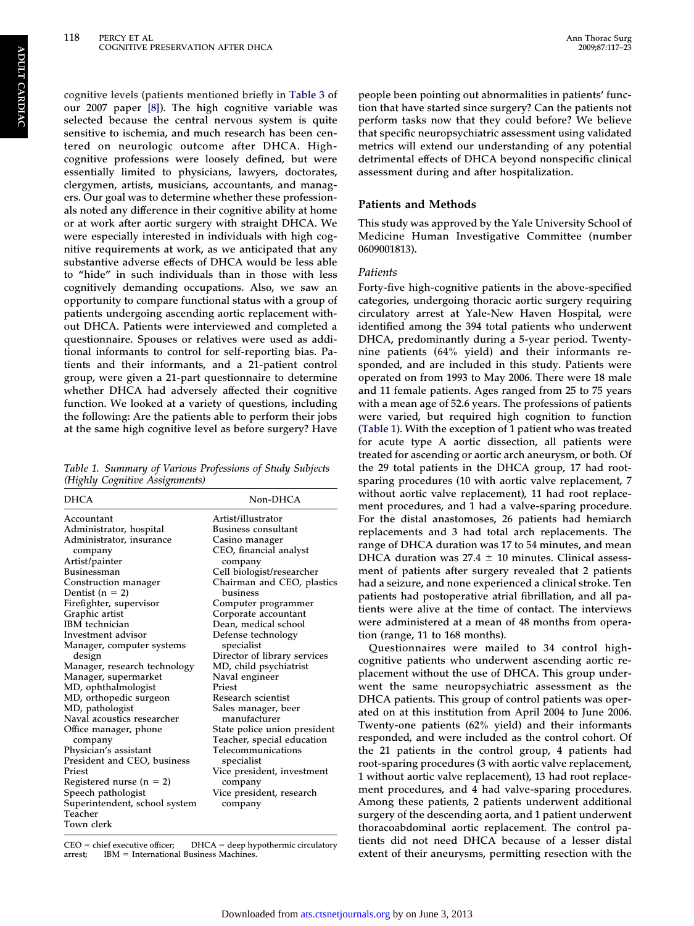**cognitive levels (patients mentioned briefly in Table 3 of our 2007 paper [8]). The high cognitive variable was selected because the central nervous system is quite sensitive to ischemia, and much research has been centered on neurologic outcome after DHCA. Highcognitive professions were loosely defined, but were essentially limited to physicians, lawyers, doctorates, clergymen, artists, musicians, accountants, and managers. Our goal was to determine whether these professionals noted any difference in their cognitive ability at home or at work after aortic surgery with straight DHCA. We were especially interested in individuals with high cognitive requirements at work, as we anticipated that any substantive adverse effects of DHCA would be less able to "hide" in such individuals than in those with less cognitively demanding occupations. Also, we saw an opportunity to compare functional status with a group of patients undergoing ascending aortic replacement without DHCA. Patients were interviewed and completed a questionnaire. Spouses or relatives were used as additional informants to control for self-reporting bias. Patients and their informants, and a 21-patient control group, were given a 21-part questionnaire to determine whether DHCA had adversely affected their cognitive function. We looked at a variety of questions, including the following: Are the patients able to perform their jobs at the same high cognitive level as before surgery? Have**

*Table 1. Summary of Various Professions of Study Subjects (Highly Cognitive Assignments)*

| <b>DHCA</b>                   | Non-DHCA                     |
|-------------------------------|------------------------------|
| Accountant                    | Artist/illustrator           |
| Administrator, hospital       | <b>Business consultant</b>   |
| Administrator, insurance      | Casino manager               |
| company                       | CEO, financial analyst       |
| Artist/painter                | company                      |
| Businessman                   | Cell biologist/researcher    |
| Construction manager          | Chairman and CEO, plastics   |
| Dentist ( $n = 2$ )           | business                     |
| Firefighter, supervisor       | Computer programmer          |
| Graphic artist                | Corporate accountant         |
| <b>IBM</b> technician         | Dean, medical school         |
| Investment advisor            | Defense technology           |
| Manager, computer systems     | specialist                   |
| design                        | Director of library services |
| Manager, research technology  | MD, child psychiatrist       |
| Manager, supermarket          | Naval engineer               |
| MD, ophthalmologist           | Priest                       |
| MD, orthopedic surgeon        | Research scientist           |
| MD, pathologist               | Sales manager, beer          |
| Naval acoustics researcher    | manufacturer                 |
| Office manager, phone         | State police union president |
| company                       | Teacher, special education   |
| Physician's assistant         | Telecommunications           |
| President and CEO, business   | specialist                   |
| Priest                        | Vice president, investment   |
| Registered nurse ( $n = 2$ )  | company                      |
| Speech pathologist            | Vice president, research     |
| Superintendent, school system | company                      |
| Teacher                       |                              |
| Town clerk                    |                              |

**CEO** - **chief executive officer; DHCA** -DHCA = deep hypothermic circulatory arrest; **IBM** = International Business Machines.

**people been pointing out abnormalities in patients' function that have started since surgery? Can the patients not perform tasks now that they could before? We believe that specific neuropsychiatric assessment using validated metrics will extend our understanding of any potential detrimental effects of DHCA beyond nonspecific clinical assessment during and after hospitalization.**

#### **Patients and Methods**

**This study was approved by the Yale University School of Medicine Human Investigative Committee (number 0609001813).**

#### *Patients*

**Forty-five high-cognitive patients in the above-specified categories, undergoing thoracic aortic surgery requiring circulatory arrest at Yale-New Haven Hospital, were identified among the 394 total patients who underwent DHCA, predominantly during a 5-year period. Twentynine patients (64% yield) and their informants responded, and are included in this study. Patients were operated on from 1993 to May 2006. There were 18 male and 11 female patients. Ages ranged from 25 to 75 years with a mean age of 52.6 years. The professions of patients were varied, but required high cognition to function (Table 1). With the exception of 1 patient who was treated for acute type A aortic dissection, all patients were treated for ascending or aortic arch aneurysm, or both. Of the 29 total patients in the DHCA group, 17 had rootsparing procedures (10 with aortic valve replacement, 7 without aortic valve replacement), 11 had root replacement procedures, and 1 had a valve-sparing procedure. For the distal anastomoses, 26 patients had hemiarch replacements and 3 had total arch replacements. The range of DHCA duration was 17 to 54 minutes, and mean DHCA duration was 27.4 10 minutes. Clinical assessment of patients after surgery revealed that 2 patients had a seizure, and none experienced a clinical stroke. Ten patients had postoperative atrial fibrillation, and all patients were alive at the time of contact. The interviews were administered at a mean of 48 months from operation (range, 11 to 168 months).**

**Questionnaires were mailed to 34 control highcognitive patients who underwent ascending aortic replacement without the use of DHCA. This group underwent the same neuropsychiatric assessment as the DHCA patients. This group of control patients was operated on at this institution from April 2004 to June 2006. Twenty-one patients (62% yield) and their informants responded, and were included as the control cohort. Of the 21 patients in the control group, 4 patients had root-sparing procedures (3 with aortic valve replacement, 1 without aortic valve replacement), 13 had root replacement procedures, and 4 had valve-sparing procedures. Among these patients, 2 patients underwent additional surgery of the descending aorta, and 1 patient underwent thoracoabdominal aortic replacement. The control patients did not need DHCA because of a lesser distal extent of their aneurysms, permitting resection with the**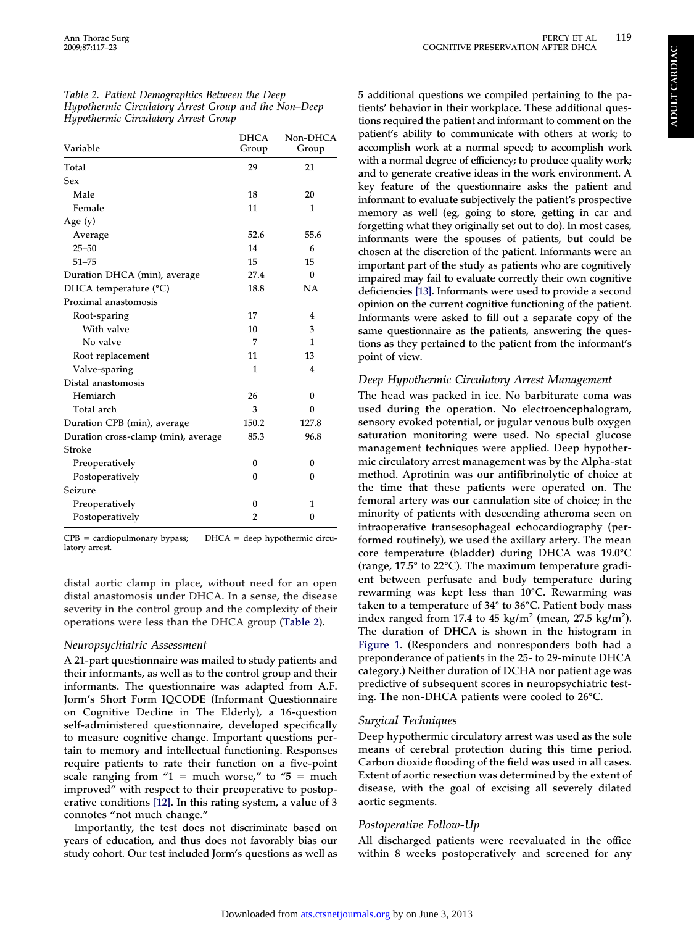| Table 2. Patient Demographics Between the Deep        |
|-------------------------------------------------------|
| Hypothermic Circulatory Arrest Group and the Non–Deep |
| Hypothermic Circulatory Arrest Group                  |

| Variable                            | <b>DHCA</b><br>Group | Non-DHCA<br>Group |
|-------------------------------------|----------------------|-------------------|
| Total                               | 29                   | 21                |
| Sex                                 |                      |                   |
| Male                                | 18                   | 20                |
| Female                              | 11                   | 1                 |
| Age $(y)$                           |                      |                   |
| Average                             | 52.6                 | 55.6              |
| $25 - 50$                           | 14                   | 6                 |
| $51 - 75$                           | 15                   | 15                |
| Duration DHCA (min), average        | 27.4                 | 0                 |
| DHCA temperature (°C)               | 18.8                 | NA                |
| Proximal anastomosis                |                      |                   |
| Root-sparing                        | 17                   | 4                 |
| With valve                          | 10                   | 3                 |
| No valve                            | 7                    | 1                 |
| Root replacement                    | 11                   | 13                |
| Valve-sparing                       | 1                    | 4                 |
| Distal anastomosis                  |                      |                   |
| Hemiarch                            | 26                   | $\mathbf{0}$      |
| Total arch                          | 3                    | 0                 |
| Duration CPB (min), average         | 150.2                | 127.8             |
| Duration cross-clamp (min), average | 85.3                 | 96.8              |
| Stroke                              |                      |                   |
| Preoperatively                      | $\bf{0}$             | $\bf{0}$          |
| Postoperatively                     | $\theta$             | $\theta$          |
| Seizure                             |                      |                   |
| Preoperatively                      | $\bf{0}$             | 1                 |
| Postoperatively                     | 2                    | $\bf{0}$          |

**CPB** - **cardiopulmonary bypass; DHCA** -DHCA = deep hypothermic circu**latory arrest.**

**distal aortic clamp in place, without need for an open distal anastomosis under DHCA. In a sense, the disease severity in the control group and the complexity of their operations were less than the DHCA group (Table 2).**

# *Neuropsychiatric Assessment*

**A 21-part questionnaire was mailed to study patients and their informants, as well as to the control group and their informants. The questionnaire was adapted from A.F. Jorm's Short Form IQCODE (Informant Questionnaire on Cognitive Decline in The Elderly), a 16-question self-administered questionnaire, developed specifically to measure cognitive change. Important questions pertain to memory and intellectual functioning. Responses require patients to rate their function on a five-point** scale ranging from  $n =$  much worse," to  $n =$  much **improved" with respect to their preoperative to postoperative conditions [12]. In this rating system, a value of 3 connotes "not much change."**

**Importantly, the test does not discriminate based on years of education, and thus does not favorably bias our study cohort. Our test included Jorm's questions as well as** **5 additional questions we compiled pertaining to the patients' behavior in their workplace. These additional questions required the patient and informant to comment on the patient's ability to communicate with others at work; to accomplish work at a normal speed; to accomplish work with a normal degree of efficiency; to produce quality work; and to generate creative ideas in the work environment. A key feature of the questionnaire asks the patient and informant to evaluate subjectively the patient's prospective memory as well (eg, going to store, getting in car and forgetting what they originally set out to do). In most cases, informants were the spouses of patients, but could be chosen at the discretion of the patient. Informants were an important part of the study as patients who are cognitively impaired may fail to evaluate correctly their own cognitive deficiencies [13]. Informants were used to provide a second opinion on the current cognitive functioning of the patient. Informants were asked to fill out a separate copy of the same questionnaire as the patients, answering the questions as they pertained to the patient from the informant's point of view.**

# *Deep Hypothermic Circulatory Arrest Management*

**The head was packed in ice. No barbiturate coma was used during the operation. No electroencephalogram, sensory evoked potential, or jugular venous bulb oxygen saturation monitoring were used. No special glucose management techniques were applied. Deep hypothermic circulatory arrest management was by the Alpha-stat method. Aprotinin was our antifibrinolytic of choice at the time that these patients were operated on. The femoral artery was our cannulation site of choice; in the minority of patients with descending atheroma seen on intraoperative transesophageal echocardiography (performed routinely), we used the axillary artery. The mean core temperature (bladder) during DHCA was 19.0°C (range, 17.5° to 22°C). The maximum temperature gradient between perfusate and body temperature during rewarming was kept less than 10°C. Rewarming was taken to a temperature of 34° to 36°C. Patient body mass index ranged from 17.4 to 45 kg/m2 (mean, 27.5 kg/m2 ). The duration of DHCA is shown in the histogram in Figure 1. (Responders and nonresponders both had a preponderance of patients in the 25- to 29-minute DHCA category.) Neither duration of DCHA nor patient age was predictive of subsequent scores in neuropsychiatric testing. The non-DHCA patients were cooled to 26°C.**

# *Surgical Techniques*

**Deep hypothermic circulatory arrest was used as the sole means of cerebral protection during this time period. Carbon dioxide flooding of the field was used in all cases. Extent of aortic resection was determined by the extent of disease, with the goal of excising all severely dilated aortic segments.**

# *Postoperative Follow-Up*

**All discharged patients were reevaluated in the office within 8 weeks postoperatively and screened for any**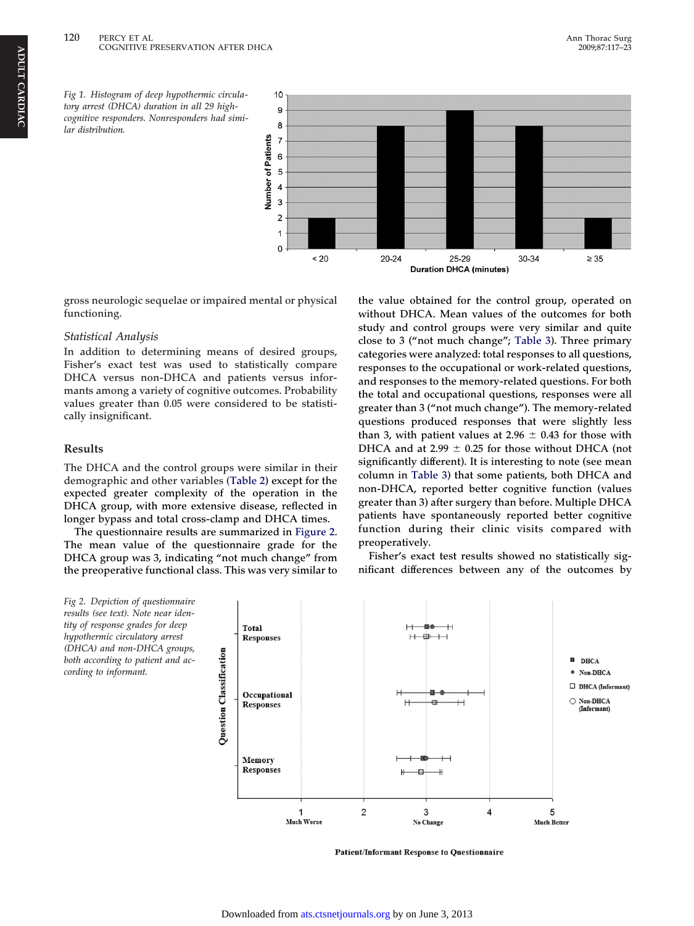$\geq 35$ 

*Fig 1. Histogram of deep hypothermic circula-* $10$ *tory arrest (DHCA) duration in all 29 high-*9 *cognitive responders. Nonresponders had simi-* $\mathbf{a}$ *lar distribution.* of Patients  $\overline{7}$ 6 5 Number  $\overline{4}$ 3  $\overline{\mathbf{c}}$ 1  $\Omega$ 

20-24

25-29

**Duration DHCA (minutes)** 

 $< 20$ 

**gross neurologic sequelae or impaired mental or physical functioning.**

# *Statistical Analysis*

**In addition to determining means of desired groups, Fisher's exact test was used to statistically compare DHCA versus non-DHCA and patients versus informants among a variety of cognitive outcomes. Probability values greater than 0.05 were considered to be statistically insignificant.**

# **Results**

**The DHCA and the control groups were similar in their demographic and other variables (Table 2) except for the expected greater complexity of the operation in the DHCA group, with more extensive disease, reflected in longer bypass and total cross-clamp and DHCA times.**

**The questionnaire results are summarized in Figure 2. The mean value of the questionnaire grade for the DHCA group was 3, indicating "not much change" from the preoperative functional class. This was very similar to** **the value obtained for the control group, operated on without DHCA. Mean values of the outcomes for both study and control groups were very similar and quite close to 3 ("not much change"; Table 3). Three primary categories were analyzed: total responses to all questions, responses to the occupational or work-related questions, and responses to the memory-related questions. For both the total and occupational questions, responses were all greater than 3 ("not much change"). The memory-related questions produced responses that were slightly less than 3, with patient values at 2.96**  $\pm$  0.43 for those with DHCA and at  $2.99 \pm 0.25$  for those without DHCA (not **significantly different). It is interesting to note (see mean column in Table 3) that some patients, both DHCA and non-DHCA, reported better cognitive function (values greater than 3) after surgery than before. Multiple DHCA patients have spontaneously reported better cognitive function during their clinic visits compared with preoperatively.**

30-34

**Fisher's exact test results showed no statistically significant differences between any of the outcomes by**



Patient/Informant Response to Questionnaire

*Fig 2. Depiction of questionnaire results (see text). Note near identity of response grades for deep hypothermic circulatory arrest (DHCA) and non-DHCA groups, both according to patient and according to informant.*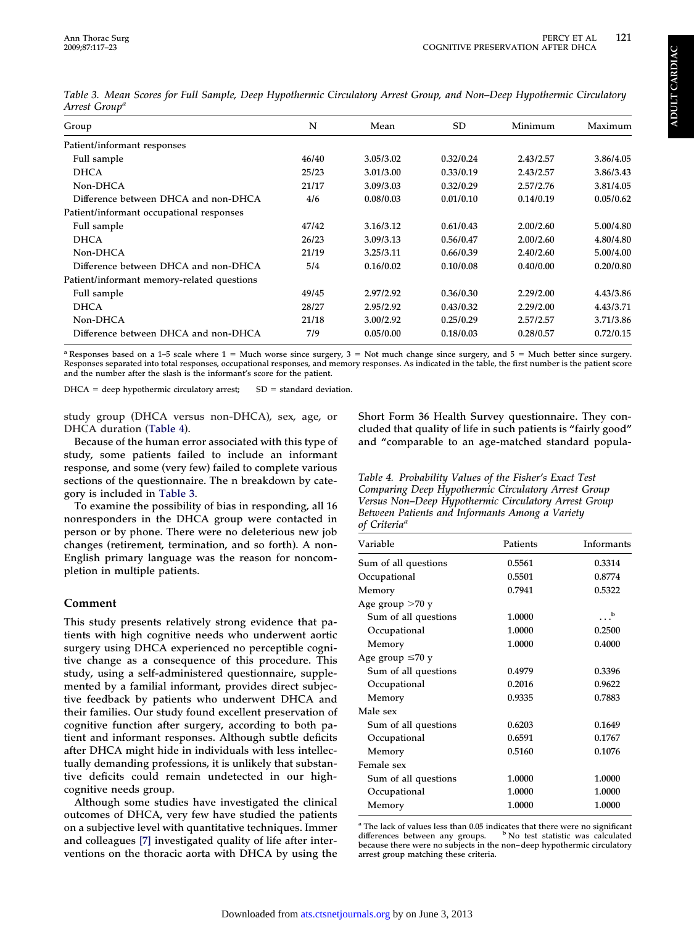| Group                                      | N     | Mean      | <b>SD</b> | Minimum   | Maximum   |
|--------------------------------------------|-------|-----------|-----------|-----------|-----------|
| Patient/informant responses                |       |           |           |           |           |
| Full sample                                | 46/40 | 3.05/3.02 | 0.32/0.24 | 2.43/2.57 | 3.86/4.05 |
| <b>DHCA</b>                                | 25/23 | 3.01/3.00 | 0.33/0.19 | 2.43/2.57 | 3.86/3.43 |
| Non-DHCA                                   | 21/17 | 3.09/3.03 | 0.32/0.29 | 2.57/2.76 | 3.81/4.05 |
| Difference between DHCA and non-DHCA       | 4/6   | 0.08/0.03 | 0.01/0.10 | 0.14/0.19 | 0.05/0.62 |
| Patient/informant occupational responses   |       |           |           |           |           |
| Full sample                                | 47/42 | 3.16/3.12 | 0.61/0.43 | 2.00/2.60 | 5.00/4.80 |
| <b>DHCA</b>                                | 26/23 | 3.09/3.13 | 0.56/0.47 | 2.00/2.60 | 4.80/4.80 |
| Non-DHCA                                   | 21/19 | 3.25/3.11 | 0.66/0.39 | 2.40/2.60 | 5.00/4.00 |
| Difference between DHCA and non-DHCA       | 5/4   | 0.16/0.02 | 0.10/0.08 | 0.40/0.00 | 0.20/0.80 |
| Patient/informant memory-related questions |       |           |           |           |           |
| Full sample                                | 49/45 | 2.97/2.92 | 0.36/0.30 | 2.29/2.00 | 4.43/3.86 |
| <b>DHCA</b>                                | 28/27 | 2.95/2.92 | 0.43/0.32 | 2.29/2.00 | 4.43/3.71 |
| Non-DHCA                                   | 21/18 | 3.00/2.92 | 0.25/0.29 | 2.57/2.57 | 3.71/3.86 |
| Difference between DHCA and non-DHCA       | 7/9   | 0.05/0.00 | 0.18/0.03 | 0.28/0.57 | 0.72/0.15 |

*Table 3. Mean Scores for Full Sample, Deep Hypothermic Circulatory Arrest Group, and Non–Deep Hypothermic Circulatory Arrest Groupa*

a<sup>*Responses based on a 1–5 scale where 1* = Much worse since surgery, 3 = Not much change since surgery, and 5 = Much better since surgery.</sup> **Responses separated into total responses, occupational responses, and memory responses. As indicated in the table, the first number is the patient score and the number after the slash is the informant's score for the patient.**

DHCA = deep hypothermic circulatory arrest; SD = **standard deviation.**

**study group (DHCA versus non-DHCA), sex, age, or DHCA duration (Table 4).**

**Because of the human error associated with this type of study, some patients failed to include an informant response, and some (very few) failed to complete various sections of the questionnaire. The n breakdown by category is included in Table 3.**

**To examine the possibility of bias in responding, all 16 nonresponders in the DHCA group were contacted in person or by phone. There were no deleterious new job changes (retirement, termination, and so forth). A non-English primary language was the reason for noncompletion in multiple patients.**

# **Comment**

**This study presents relatively strong evidence that patients with high cognitive needs who underwent aortic surgery using DHCA experienced no perceptible cognitive change as a consequence of this procedure. This study, using a self-administered questionnaire, supplemented by a familial informant, provides direct subjective feedback by patients who underwent DHCA and their families. Our study found excellent preservation of cognitive function after surgery, according to both patient and informant responses. Although subtle deficits after DHCA might hide in individuals with less intellectually demanding professions, it is unlikely that substantive deficits could remain undetected in our highcognitive needs group.**

**Although some studies have investigated the clinical outcomes of DHCA, very few have studied the patients on a subjective level with quantitative techniques. Immer and colleagues [7] investigated quality of life after interventions on the thoracic aorta with DHCA by using the**

**Short Form 36 Health Survey questionnaire. They concluded that quality of life in such patients is "fairly good" and "comparable to an age-matched standard popula-**

*Table 4. Probability Values of the Fisher's Exact Test Comparing Deep Hypothermic Circulatory Arrest Group Versus Non–Deep Hypothermic Circulatory Arrest Group Between Patients and Informants Among a Variety of Criteriaa*

| Variable              | Patients | Informants             |
|-----------------------|----------|------------------------|
| Sum of all questions  | 0.5561   | 0.3314                 |
| Occupational          | 0.5501   | 0.8774                 |
| Memory                | 0.7941   | 0.5322                 |
| Age group $>70$ y     |          |                        |
| Sum of all questions  | 1.0000   | $\cdot$ . <sup>b</sup> |
| Occupational          | 1.0000   | 0.2500                 |
| Memory                | 1.0000   | 0.4000                 |
| Age group $\leq 70$ y |          |                        |
| Sum of all questions  | 0.4979   | 0.3396                 |
| Occupational          | 0.2016   | 0.9622                 |
| Memory                | 0.9335   | 0.7883                 |
| Male sex              |          |                        |
| Sum of all questions  | 0.6203   | 0.1649                 |
| Occupational          | 0.6591   | 0.1767                 |
| Memory                | 0.5160   | 0.1076                 |
| Female sex            |          |                        |
| Sum of all questions  | 1.0000   | 1.0000                 |
| Occupational          | 1.0000   | 1.0000                 |
| Memory                | 1.0000   | 1.0000                 |

**<sup>a</sup> The lack of values less than 0.05 indicates that there were no significant differences between any groups. <sup>b</sup> No test statistic was calculated because there were no subjects in the non–deep hypothermic circulatory arrest group matching these criteria.**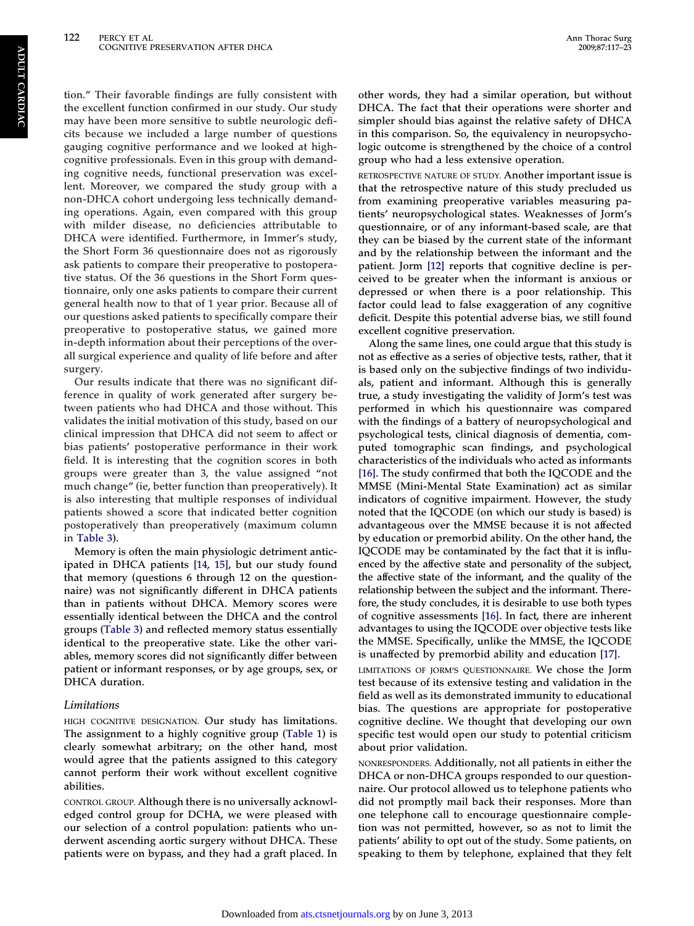**ADULT**

**ADULT CARDIAC CARDIAC**

**tion." Their favorable findings are fully consistent with the excellent function confirmed in our study. Our study may have been more sensitive to subtle neurologic deficits because we included a large number of questions gauging cognitive performance and we looked at highcognitive professionals. Even in this group with demanding cognitive needs, functional preservation was excellent. Moreover, we compared the study group with a non-DHCA cohort undergoing less technically demanding operations. Again, even compared with this group with milder disease, no deficiencies attributable to DHCA were identified. Furthermore, in Immer's study, the Short Form 36 questionnaire does not as rigorously ask patients to compare their preoperative to postoperative status. Of the 36 questions in the Short Form questionnaire, only one asks patients to compare their current general health now to that of 1 year prior. Because all of our questions asked patients to specifically compare their preoperative to postoperative status, we gained more in-depth information about their perceptions of the overall surgical experience and quality of life before and after surgery.**

**Our results indicate that there was no significant difference in quality of work generated after surgery between patients who had DHCA and those without. This validates the initial motivation of this study, based on our clinical impression that DHCA did not seem to affect or bias patients' postoperative performance in their work field. It is interesting that the cognition scores in both groups were greater than 3, the value assigned "not much change" (ie, better function than preoperatively). It is also interesting that multiple responses of individual patients showed a score that indicated better cognition postoperatively than preoperatively (maximum column in Table 3).**

**Memory is often the main physiologic detriment anticipated in DHCA patients [14, 15], but our study found that memory (questions 6 through 12 on the questionnaire) was not significantly different in DHCA patients than in patients without DHCA. Memory scores were essentially identical between the DHCA and the control groups (Table 3) and reflected memory status essentially identical to the preoperative state. Like the other variables, memory scores did not significantly differ between patient or informant responses, or by age groups, sex, or DHCA duration.**

# *Limitations*

**HIGH COGNITIVE DESIGNATION. Our study has limitations. The assignment to a highly cognitive group (Table 1) is clearly somewhat arbitrary; on the other hand, most would agree that the patients assigned to this category cannot perform their work without excellent cognitive abilities.**

**CONTROL GROUP. Although there is no universally acknowledged control group for DCHA, we were pleased with our selection of a control population: patients who underwent ascending aortic surgery without DHCA. These patients were on bypass, and they had a graft placed. In** **other words, they had a similar operation, but without DHCA. The fact that their operations were shorter and simpler should bias against the relative safety of DHCA in this comparison. So, the equivalency in neuropsychologic outcome is strengthened by the choice of a control group who had a less extensive operation.**

**RETROSPECTIVE NATURE OF STUDY. Another important issue is that the retrospective nature of this study precluded us from examining preoperative variables measuring patients' neuropsychological states. Weaknesses of Jorm's questionnaire, or of any informant-based scale, are that they can be biased by the current state of the informant and by the relationship between the informant and the patient. Jorm [12] reports that cognitive decline is perceived to be greater when the informant is anxious or depressed or when there is a poor relationship. This factor could lead to false exaggeration of any cognitive deficit. Despite this potential adverse bias, we still found excellent cognitive preservation.**

**Along the same lines, one could argue that this study is not as effective as a series of objective tests, rather, that it is based only on the subjective findings of two individuals, patient and informant. Although this is generally true, a study investigating the validity of Jorm's test was performed in which his questionnaire was compared with the findings of a battery of neuropsychological and psychological tests, clinical diagnosis of dementia, computed tomographic scan findings, and psychological characteristics of the individuals who acted as informants [16]. The study confirmed that both the IQCODE and the MMSE (Mini-Mental State Examination) act as similar indicators of cognitive impairment. However, the study noted that the IQCODE (on which our study is based) is advantageous over the MMSE because it is not affected by education or premorbid ability. On the other hand, the IQCODE may be contaminated by the fact that it is influenced by the affective state and personality of the subject, the affective state of the informant, and the quality of the relationship between the subject and the informant. Therefore, the study concludes, it is desirable to use both types of cognitive assessments [16]. In fact, there are inherent advantages to using the IQCODE over objective tests like the MMSE. Specifically, unlike the MMSE, the IQCODE is unaffected by premorbid ability and education [17].**

**LIMITATIONS OF JORM'S QUESTIONNAIRE. We chose the Jorm test because of its extensive testing and validation in the field as well as its demonstrated immunity to educational bias. The questions are appropriate for postoperative cognitive decline. We thought that developing our own specific test would open our study to potential criticism about prior validation.**

**NONRESPONDERS. Additionally, not all patients in either the DHCA or non-DHCA groups responded to our questionnaire. Our protocol allowed us to telephone patients who did not promptly mail back their responses. More than one telephone call to encourage questionnaire completion was not permitted, however, so as not to limit the patients' ability to opt out of the study. Some patients, on speaking to them by telephone, explained that they felt**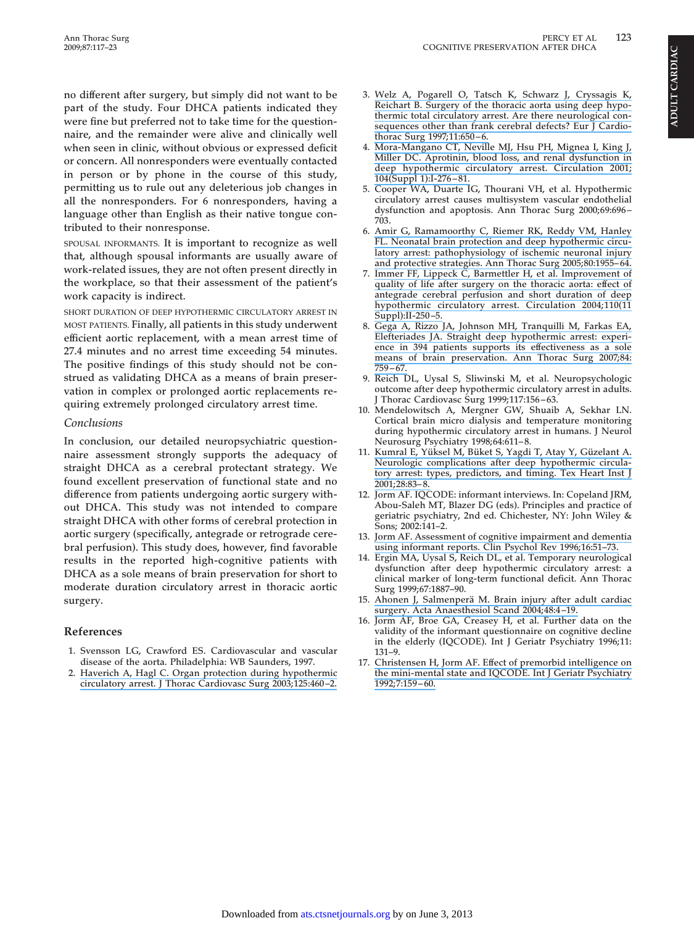**no different after surgery, but simply did not want to be part of the study. Four DHCA patients indicated they were fine but preferred not to take time for the questionnaire, and the remainder were alive and clinically well when seen in clinic, without obvious or expressed deficit or concern. All nonresponders were eventually contacted in person or by phone in the course of this study, permitting us to rule out any deleterious job changes in all the nonresponders. For 6 nonresponders, having a language other than English as their native tongue contributed to their nonresponse.**

**SPOUSAL INFORMANTS. It is important to recognize as well that, although spousal informants are usually aware of work-related issues, they are not often present directly in the workplace, so that their assessment of the patient's work capacity is indirect.**

**SHORT DURATION OF DEEP HYPOTHERMIC CIRCULATORY ARREST IN MOST PATIENTS. Finally, all patients in this study underwent efficient aortic replacement, with a mean arrest time of 27.4 minutes and no arrest time exceeding 54 minutes. The positive findings of this study should not be construed as validating DHCA as a means of brain preservation in complex or prolonged aortic replacements requiring extremely prolonged circulatory arrest time.**

# *Conclusions*

**In conclusion, our detailed neuropsychiatric questionnaire assessment strongly supports the adequacy of straight DHCA as a cerebral protectant strategy. We found excellent preservation of functional state and no difference from patients undergoing aortic surgery without DHCA. This study was not intended to compare straight DHCA with other forms of cerebral protection in aortic surgery (specifically, antegrade or retrograde cerebral perfusion). This study does, however, find favorable results in the reported high-cognitive patients with DHCA as a sole means of brain preservation for short to moderate duration circulatory arrest in thoracic aortic surgery.**

# **References**

- **1. Svensson LG, Crawford ES. Cardiovascular and vascular disease of the aorta. Philadelphia: WB Saunders, 1997.**
- **2. [Haverich A, Hagl C. Organ protection during hypothermic](https://www.researchgate.net/publication/10837631_Organ_protection_during_hypothermic_circulatory_arrest?el=1_x_8&enrichId=rgreq-1f0e61aaf838a2e202d990b37628ee5a-XXX&enrichSource=Y292ZXJQYWdlOzIzNjgyODAzO0FTOjEwMTU5NDY3MDU2NzQyNkAxNDAxMjMzNDY1Mzc3) [circulatory arrest. J Thorac Cardiovasc Surg 2003;125:460 –2.](https://www.researchgate.net/publication/10837631_Organ_protection_during_hypothermic_circulatory_arrest?el=1_x_8&enrichId=rgreq-1f0e61aaf838a2e202d990b37628ee5a-XXX&enrichSource=Y292ZXJQYWdlOzIzNjgyODAzO0FTOjEwMTU5NDY3MDU2NzQyNkAxNDAxMjMzNDY1Mzc3)**
- **3. [Welz A, Pogarell O, Tatsch K, Schwarz J, Cryssagis K,](https://www.researchgate.net/publication/14067589_Surgery_of_the_thoracic_aorta_using_deep_hypothermic_total_circulatory_arrest_Are_there_neurological_consequences_other_than_frank_cerebral_defects?el=1_x_8&enrichId=rgreq-1f0e61aaf838a2e202d990b37628ee5a-XXX&enrichSource=Y292ZXJQYWdlOzIzNjgyODAzO0FTOjEwMTU5NDY3MDU2NzQyNkAxNDAxMjMzNDY1Mzc3) [Reichart B. Surgery of the thoracic aorta using deep hypo](https://www.researchgate.net/publication/14067589_Surgery_of_the_thoracic_aorta_using_deep_hypothermic_total_circulatory_arrest_Are_there_neurological_consequences_other_than_frank_cerebral_defects?el=1_x_8&enrichId=rgreq-1f0e61aaf838a2e202d990b37628ee5a-XXX&enrichSource=Y292ZXJQYWdlOzIzNjgyODAzO0FTOjEwMTU5NDY3MDU2NzQyNkAxNDAxMjMzNDY1Mzc3)[thermic total circulatory arrest. Are there neurological con](https://www.researchgate.net/publication/14067589_Surgery_of_the_thoracic_aorta_using_deep_hypothermic_total_circulatory_arrest_Are_there_neurological_consequences_other_than_frank_cerebral_defects?el=1_x_8&enrichId=rgreq-1f0e61aaf838a2e202d990b37628ee5a-XXX&enrichSource=Y292ZXJQYWdlOzIzNjgyODAzO0FTOjEwMTU5NDY3MDU2NzQyNkAxNDAxMjMzNDY1Mzc3)[sequences other than frank cerebral defects? Eur J Cardio](https://www.researchgate.net/publication/14067589_Surgery_of_the_thoracic_aorta_using_deep_hypothermic_total_circulatory_arrest_Are_there_neurological_consequences_other_than_frank_cerebral_defects?el=1_x_8&enrichId=rgreq-1f0e61aaf838a2e202d990b37628ee5a-XXX&enrichSource=Y292ZXJQYWdlOzIzNjgyODAzO0FTOjEwMTU5NDY3MDU2NzQyNkAxNDAxMjMzNDY1Mzc3)[thorac Surg 1997;11:650 – 6.](https://www.researchgate.net/publication/14067589_Surgery_of_the_thoracic_aorta_using_deep_hypothermic_total_circulatory_arrest_Are_there_neurological_consequences_other_than_frank_cerebral_defects?el=1_x_8&enrichId=rgreq-1f0e61aaf838a2e202d990b37628ee5a-XXX&enrichSource=Y292ZXJQYWdlOzIzNjgyODAzO0FTOjEwMTU5NDY3MDU2NzQyNkAxNDAxMjMzNDY1Mzc3)**
- **4. [Mora-Mangano CT, Neville MJ, Hsu PH, Mignea I, King J,](https://www.researchgate.net/publication/11780231_Aprotinin_Blood_Loss_and_Renal_Dysfunction_in_Deep_Hypothermic_Circulatory_Arrest?el=1_x_8&enrichId=rgreq-1f0e61aaf838a2e202d990b37628ee5a-XXX&enrichSource=Y292ZXJQYWdlOzIzNjgyODAzO0FTOjEwMTU5NDY3MDU2NzQyNkAxNDAxMjMzNDY1Mzc3) [Miller DC. Aprotinin, blood loss, and renal dysfunction in](https://www.researchgate.net/publication/11780231_Aprotinin_Blood_Loss_and_Renal_Dysfunction_in_Deep_Hypothermic_Circulatory_Arrest?el=1_x_8&enrichId=rgreq-1f0e61aaf838a2e202d990b37628ee5a-XXX&enrichSource=Y292ZXJQYWdlOzIzNjgyODAzO0FTOjEwMTU5NDY3MDU2NzQyNkAxNDAxMjMzNDY1Mzc3) [deep hypothermic circulatory arrest. Circulation 2001;](https://www.researchgate.net/publication/11780231_Aprotinin_Blood_Loss_and_Renal_Dysfunction_in_Deep_Hypothermic_Circulatory_Arrest?el=1_x_8&enrichId=rgreq-1f0e61aaf838a2e202d990b37628ee5a-XXX&enrichSource=Y292ZXJQYWdlOzIzNjgyODAzO0FTOjEwMTU5NDY3MDU2NzQyNkAxNDAxMjMzNDY1Mzc3) [104\(Suppl 1\):I-276 – 81.](https://www.researchgate.net/publication/11780231_Aprotinin_Blood_Loss_and_Renal_Dysfunction_in_Deep_Hypothermic_Circulatory_Arrest?el=1_x_8&enrichId=rgreq-1f0e61aaf838a2e202d990b37628ee5a-XXX&enrichSource=Y292ZXJQYWdlOzIzNjgyODAzO0FTOjEwMTU5NDY3MDU2NzQyNkAxNDAxMjMzNDY1Mzc3)**
- **5. Cooper WA, Duarte IG, Thourani VH, et al. Hypothermic circulatory arrest causes multisystem vascular endothelial dysfunction and apoptosis. Ann Thorac Surg 2000;69:696 – 703.**
- **6. [Amir G, Ramamoorthy C, Riemer RK, Reddy VM, Hanley](https://www.researchgate.net/publication/7523088_Neonatal_Brain_Protection_and_Deep_Hypothermic_Circulatory_Arrest_Pathophysiology_of_Ischemic_Neuronal_Injury_and_Protective_Strategies?el=1_x_8&enrichId=rgreq-1f0e61aaf838a2e202d990b37628ee5a-XXX&enrichSource=Y292ZXJQYWdlOzIzNjgyODAzO0FTOjEwMTU5NDY3MDU2NzQyNkAxNDAxMjMzNDY1Mzc3) [FL. Neonatal brain protection and deep hypothermic circu](https://www.researchgate.net/publication/7523088_Neonatal_Brain_Protection_and_Deep_Hypothermic_Circulatory_Arrest_Pathophysiology_of_Ischemic_Neuronal_Injury_and_Protective_Strategies?el=1_x_8&enrichId=rgreq-1f0e61aaf838a2e202d990b37628ee5a-XXX&enrichSource=Y292ZXJQYWdlOzIzNjgyODAzO0FTOjEwMTU5NDY3MDU2NzQyNkAxNDAxMjMzNDY1Mzc3)[latory arrest: pathophysiology of ischemic neuronal injury](https://www.researchgate.net/publication/7523088_Neonatal_Brain_Protection_and_Deep_Hypothermic_Circulatory_Arrest_Pathophysiology_of_Ischemic_Neuronal_Injury_and_Protective_Strategies?el=1_x_8&enrichId=rgreq-1f0e61aaf838a2e202d990b37628ee5a-XXX&enrichSource=Y292ZXJQYWdlOzIzNjgyODAzO0FTOjEwMTU5NDY3MDU2NzQyNkAxNDAxMjMzNDY1Mzc3) [and protective strategies. Ann Thorac Surg 2005;80:1955– 64.](https://www.researchgate.net/publication/7523088_Neonatal_Brain_Protection_and_Deep_Hypothermic_Circulatory_Arrest_Pathophysiology_of_Ischemic_Neuronal_Injury_and_Protective_Strategies?el=1_x_8&enrichId=rgreq-1f0e61aaf838a2e202d990b37628ee5a-XXX&enrichSource=Y292ZXJQYWdlOzIzNjgyODAzO0FTOjEwMTU5NDY3MDU2NzQyNkAxNDAxMjMzNDY1Mzc3)**
- **7. [Immer FF, Lippeck C, Barmettler H, et al. Improvement of](https://www.researchgate.net/publication/257477565_Improvement_of_quality_of_life_after_surgery_on_the_thoracic_aorta_Effect_of_antegrade_cerebral_perfusion_and_short_duration_of_deep_hypothermic_circulatory_arrest?el=1_x_8&enrichId=rgreq-1f0e61aaf838a2e202d990b37628ee5a-XXX&enrichSource=Y292ZXJQYWdlOzIzNjgyODAzO0FTOjEwMTU5NDY3MDU2NzQyNkAxNDAxMjMzNDY1Mzc3) [quality of life after surgery on the thoracic aorta: effect of](https://www.researchgate.net/publication/257477565_Improvement_of_quality_of_life_after_surgery_on_the_thoracic_aorta_Effect_of_antegrade_cerebral_perfusion_and_short_duration_of_deep_hypothermic_circulatory_arrest?el=1_x_8&enrichId=rgreq-1f0e61aaf838a2e202d990b37628ee5a-XXX&enrichSource=Y292ZXJQYWdlOzIzNjgyODAzO0FTOjEwMTU5NDY3MDU2NzQyNkAxNDAxMjMzNDY1Mzc3) [antegrade cerebral perfusion and short duration of deep](https://www.researchgate.net/publication/257477565_Improvement_of_quality_of_life_after_surgery_on_the_thoracic_aorta_Effect_of_antegrade_cerebral_perfusion_and_short_duration_of_deep_hypothermic_circulatory_arrest?el=1_x_8&enrichId=rgreq-1f0e61aaf838a2e202d990b37628ee5a-XXX&enrichSource=Y292ZXJQYWdlOzIzNjgyODAzO0FTOjEwMTU5NDY3MDU2NzQyNkAxNDAxMjMzNDY1Mzc3) [hypothermic circulatory arrest. Circulation 2004;110\(11](https://www.researchgate.net/publication/257477565_Improvement_of_quality_of_life_after_surgery_on_the_thoracic_aorta_Effect_of_antegrade_cerebral_perfusion_and_short_duration_of_deep_hypothermic_circulatory_arrest?el=1_x_8&enrichId=rgreq-1f0e61aaf838a2e202d990b37628ee5a-XXX&enrichSource=Y292ZXJQYWdlOzIzNjgyODAzO0FTOjEwMTU5NDY3MDU2NzQyNkAxNDAxMjMzNDY1Mzc3) [Suppl\):II-250 –5.](https://www.researchgate.net/publication/257477565_Improvement_of_quality_of_life_after_surgery_on_the_thoracic_aorta_Effect_of_antegrade_cerebral_perfusion_and_short_duration_of_deep_hypothermic_circulatory_arrest?el=1_x_8&enrichId=rgreq-1f0e61aaf838a2e202d990b37628ee5a-XXX&enrichSource=Y292ZXJQYWdlOzIzNjgyODAzO0FTOjEwMTU5NDY3MDU2NzQyNkAxNDAxMjMzNDY1Mzc3)**
- **8. [Gega A, Rizzo JA, Johnson MH, Tranquilli M, Farkas EA,](https://www.researchgate.net/publication/6120554_Straight_Deep_Hypothermic_Arrest_Experience_in_394_Patients_Supports_Its_Effectiveness_as_a_Sole_Means_of_Brain_Preservation?el=1_x_8&enrichId=rgreq-1f0e61aaf838a2e202d990b37628ee5a-XXX&enrichSource=Y292ZXJQYWdlOzIzNjgyODAzO0FTOjEwMTU5NDY3MDU2NzQyNkAxNDAxMjMzNDY1Mzc3) [Elefteriades JA. Straight deep hypothermic arrest: experi](https://www.researchgate.net/publication/6120554_Straight_Deep_Hypothermic_Arrest_Experience_in_394_Patients_Supports_Its_Effectiveness_as_a_Sole_Means_of_Brain_Preservation?el=1_x_8&enrichId=rgreq-1f0e61aaf838a2e202d990b37628ee5a-XXX&enrichSource=Y292ZXJQYWdlOzIzNjgyODAzO0FTOjEwMTU5NDY3MDU2NzQyNkAxNDAxMjMzNDY1Mzc3)[ence in 394 patients supports its effectiveness as a sole](https://www.researchgate.net/publication/6120554_Straight_Deep_Hypothermic_Arrest_Experience_in_394_Patients_Supports_Its_Effectiveness_as_a_Sole_Means_of_Brain_Preservation?el=1_x_8&enrichId=rgreq-1f0e61aaf838a2e202d990b37628ee5a-XXX&enrichSource=Y292ZXJQYWdlOzIzNjgyODAzO0FTOjEwMTU5NDY3MDU2NzQyNkAxNDAxMjMzNDY1Mzc3) [means of brain preservation. Ann Thorac Surg 2007;84:](https://www.researchgate.net/publication/6120554_Straight_Deep_Hypothermic_Arrest_Experience_in_394_Patients_Supports_Its_Effectiveness_as_a_Sole_Means_of_Brain_Preservation?el=1_x_8&enrichId=rgreq-1f0e61aaf838a2e202d990b37628ee5a-XXX&enrichSource=Y292ZXJQYWdlOzIzNjgyODAzO0FTOjEwMTU5NDY3MDU2NzQyNkAxNDAxMjMzNDY1Mzc3) [759 – 67.](https://www.researchgate.net/publication/6120554_Straight_Deep_Hypothermic_Arrest_Experience_in_394_Patients_Supports_Its_Effectiveness_as_a_Sole_Means_of_Brain_Preservation?el=1_x_8&enrichId=rgreq-1f0e61aaf838a2e202d990b37628ee5a-XXX&enrichSource=Y292ZXJQYWdlOzIzNjgyODAzO0FTOjEwMTU5NDY3MDU2NzQyNkAxNDAxMjMzNDY1Mzc3)**
- **9. Reich DL, Uysal S, Sliwinski M, et al. Neuropsychologic outcome after deep hypothermic circulatory arrest in adults. J Thorac Cardiovasc Surg 1999;117:156 – 63.**
- **10. Mendelowitsch A, Mergner GW, Shuaib A, Sekhar LN. Cortical brain micro dialysis and temperature monitoring during hypothermic circulatory arrest in humans. J Neurol Neurosurg Psychiatry 1998;64:611– 8.**
- **11. [Kumral E, Yüksel M, Büket S, Yagdi T, Atay Y, Güzelant A.](https://www.researchgate.net/publication/11888914_Neurologic_Complications_after_Deep_Hypothermic_Circulatory_Arrest_Types_Predictors_and_Timing?el=1_x_8&enrichId=rgreq-1f0e61aaf838a2e202d990b37628ee5a-XXX&enrichSource=Y292ZXJQYWdlOzIzNjgyODAzO0FTOjEwMTU5NDY3MDU2NzQyNkAxNDAxMjMzNDY1Mzc3) [Neurologic complications after deep hypothermic circula](https://www.researchgate.net/publication/11888914_Neurologic_Complications_after_Deep_Hypothermic_Circulatory_Arrest_Types_Predictors_and_Timing?el=1_x_8&enrichId=rgreq-1f0e61aaf838a2e202d990b37628ee5a-XXX&enrichSource=Y292ZXJQYWdlOzIzNjgyODAzO0FTOjEwMTU5NDY3MDU2NzQyNkAxNDAxMjMzNDY1Mzc3)[tory arrest: types, predictors, and timing. Tex Heart Inst J](https://www.researchgate.net/publication/11888914_Neurologic_Complications_after_Deep_Hypothermic_Circulatory_Arrest_Types_Predictors_and_Timing?el=1_x_8&enrichId=rgreq-1f0e61aaf838a2e202d990b37628ee5a-XXX&enrichSource=Y292ZXJQYWdlOzIzNjgyODAzO0FTOjEwMTU5NDY3MDU2NzQyNkAxNDAxMjMzNDY1Mzc3) [2001;28:83– 8.](https://www.researchgate.net/publication/11888914_Neurologic_Complications_after_Deep_Hypothermic_Circulatory_Arrest_Types_Predictors_and_Timing?el=1_x_8&enrichId=rgreq-1f0e61aaf838a2e202d990b37628ee5a-XXX&enrichSource=Y292ZXJQYWdlOzIzNjgyODAzO0FTOjEwMTU5NDY3MDU2NzQyNkAxNDAxMjMzNDY1Mzc3)**
- **12. Jorm AF. IQCODE: informant interviews. In: Copeland JRM, Abou-Saleh MT, Blazer DG (eds). Principles and practice of geriatric psychiatry, 2nd ed. Chichester, NY: John Wiley & Sons; 2002:141–2.**
- **13. [Jorm AF. Assessment of cognitive impairment and dementia](https://www.researchgate.net/publication/223253603_Assessment_of_cognitive_impairment_and_dementia_using_informant_report?el=1_x_8&enrichId=rgreq-1f0e61aaf838a2e202d990b37628ee5a-XXX&enrichSource=Y292ZXJQYWdlOzIzNjgyODAzO0FTOjEwMTU5NDY3MDU2NzQyNkAxNDAxMjMzNDY1Mzc3) [using informant reports. Clin Psychol Rev 1996;16:51–73.](https://www.researchgate.net/publication/223253603_Assessment_of_cognitive_impairment_and_dementia_using_informant_report?el=1_x_8&enrichId=rgreq-1f0e61aaf838a2e202d990b37628ee5a-XXX&enrichSource=Y292ZXJQYWdlOzIzNjgyODAzO0FTOjEwMTU5NDY3MDU2NzQyNkAxNDAxMjMzNDY1Mzc3)**
- **14. Ergin MA, Uysal S, Reich DL, et al. Temporary neurological dysfunction after deep hypothermic circulatory arrest: a clinical marker of long-term functional deficit. Ann Thorac Surg 1999;67:1887–90.**
- **15. [Ahonen J, Salmenperä M. Brain injury after adult cardiac](https://www.researchgate.net/publication/8959946_Brain_injury_after_adult_cardiac_surgery?el=1_x_8&enrichId=rgreq-1f0e61aaf838a2e202d990b37628ee5a-XXX&enrichSource=Y292ZXJQYWdlOzIzNjgyODAzO0FTOjEwMTU5NDY3MDU2NzQyNkAxNDAxMjMzNDY1Mzc3) [surgery. Acta Anaesthesiol Scand 2004;48:4 –19.](https://www.researchgate.net/publication/8959946_Brain_injury_after_adult_cardiac_surgery?el=1_x_8&enrichId=rgreq-1f0e61aaf838a2e202d990b37628ee5a-XXX&enrichSource=Y292ZXJQYWdlOzIzNjgyODAzO0FTOjEwMTU5NDY3MDU2NzQyNkAxNDAxMjMzNDY1Mzc3)**
- **16. Jorm AF, Broe GA, Creasey H, et al. Further data on the validity of the informant questionnaire on cognitive decline in the elderly (IQCODE). Int J Geriatr Psychiatry 1996;11: 131–9.**
- **17. [Christensen H, Jorm AF. Effect of premorbid intelligence on](https://www.researchgate.net/publication/227966584_The_effect_of_premorbid_intelligence_on_the_Mini-Mental_State_and_IQCODE?el=1_x_8&enrichId=rgreq-1f0e61aaf838a2e202d990b37628ee5a-XXX&enrichSource=Y292ZXJQYWdlOzIzNjgyODAzO0FTOjEwMTU5NDY3MDU2NzQyNkAxNDAxMjMzNDY1Mzc3) [the mini-mental state and IQCODE. Int J Geriatr Psychiatry](https://www.researchgate.net/publication/227966584_The_effect_of_premorbid_intelligence_on_the_Mini-Mental_State_and_IQCODE?el=1_x_8&enrichId=rgreq-1f0e61aaf838a2e202d990b37628ee5a-XXX&enrichSource=Y292ZXJQYWdlOzIzNjgyODAzO0FTOjEwMTU5NDY3MDU2NzQyNkAxNDAxMjMzNDY1Mzc3) [1992;7:159 – 60.](https://www.researchgate.net/publication/227966584_The_effect_of_premorbid_intelligence_on_the_Mini-Mental_State_and_IQCODE?el=1_x_8&enrichId=rgreq-1f0e61aaf838a2e202d990b37628ee5a-XXX&enrichSource=Y292ZXJQYWdlOzIzNjgyODAzO0FTOjEwMTU5NDY3MDU2NzQyNkAxNDAxMjMzNDY1Mzc3)**